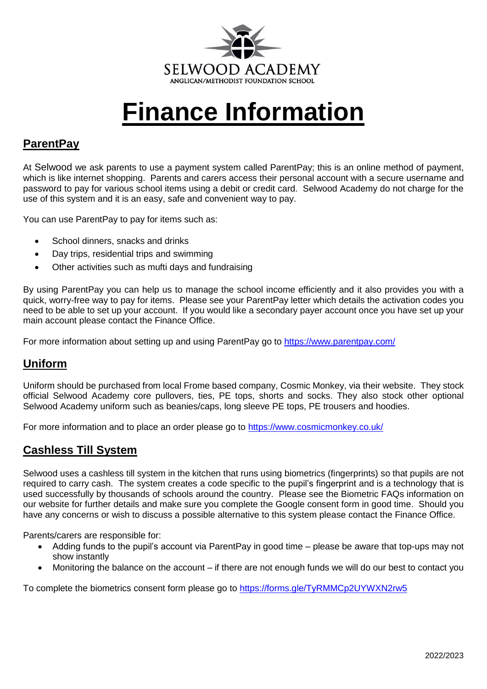

# **Finance Information**

# **ParentPay**

At Selwood we ask parents to use a payment system called ParentPay; this is an online method of payment, which is like internet shopping. Parents and carers access their personal account with a secure username and password to pay for various school items using a debit or credit card. Selwood Academy do not charge for the use of this system and it is an easy, safe and convenient way to pay.

You can use ParentPay to pay for items such as:

- School dinners, snacks and drinks
- Day trips, residential trips and swimming
- Other activities such as mufti days and fundraising

By using ParentPay you can help us to manage the school income efficiently and it also provides you with a quick, worry-free way to pay for items. Please see your ParentPay letter which details the activation codes you need to be able to set up your account. If you would like a secondary payer account once you have set up your main account please contact the Finance Office.

For more information about setting up and using ParentPay go to<https://www.parentpay.com/>

## **Uniform**

Uniform should be purchased from local Frome based company, Cosmic Monkey, via their website. They stock official Selwood Academy core pullovers, ties, PE tops, shorts and socks. They also stock other optional Selwood Academy uniform such as beanies/caps, long sleeve PE tops, PE trousers and hoodies.

For more information and to place an order please go to <https://www.cosmicmonkey.co.uk/>

### **Cashless Till System**

Selwood uses a cashless till system in the kitchen that runs using biometrics (fingerprints) so that pupils are not required to carry cash. The system creates a code specific to the pupil's fingerprint and is a technology that is used successfully by thousands of schools around the country. Please see the Biometric FAQs information on our website for further details and make sure you complete the Google consent form in good time. Should you have any concerns or wish to discuss a possible alternative to this system please contact the Finance Office.

Parents/carers are responsible for:

- Adding funds to the pupil's account via ParentPay in good time please be aware that top-ups may not show instantly
- Monitoring the balance on the account if there are not enough funds we will do our best to contact you

To complete the biometrics consent form please go to<https://forms.gle/TyRMMCp2UYWXN2rw5>